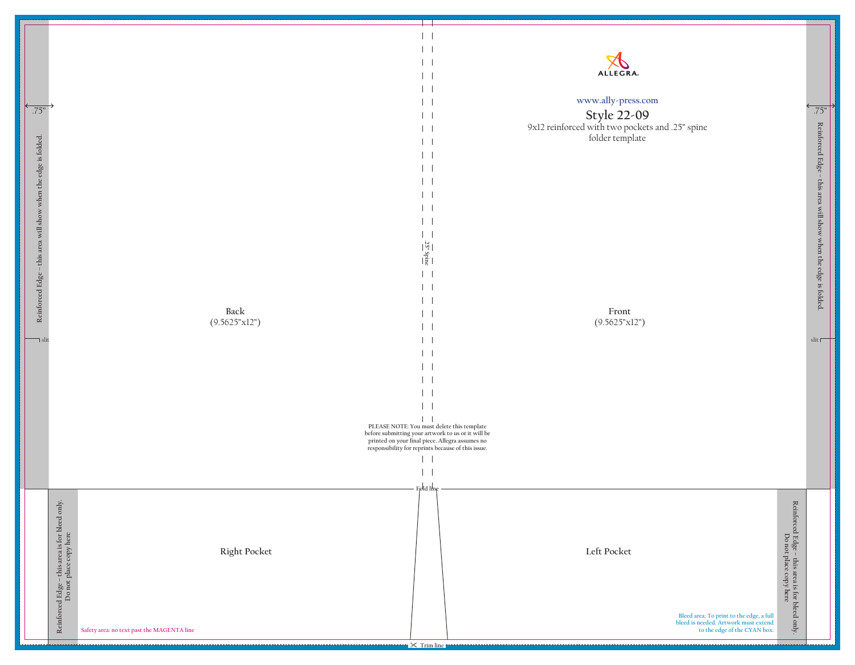**Front** (9.5625"x12")

> **Bleed area: To print to the edge, a full bleed is needed. Artwork must extend to the edge of the CYAN box.**

## **www.ally-press.com**

## **Style 22-09**

9x12 reinforced with two pockets and .25" spine folder template

> Reinforced Edge - this area is for bleed only.<br>Do not place copy here **Reinforced Edge – this area is for bleed only. Do not place copy here**





**Reinforced Edge – this area will show when the edge is folded.**

Reinforced Edge – this area will show when the edge is folded.

slit  $\Box$ 

.75"